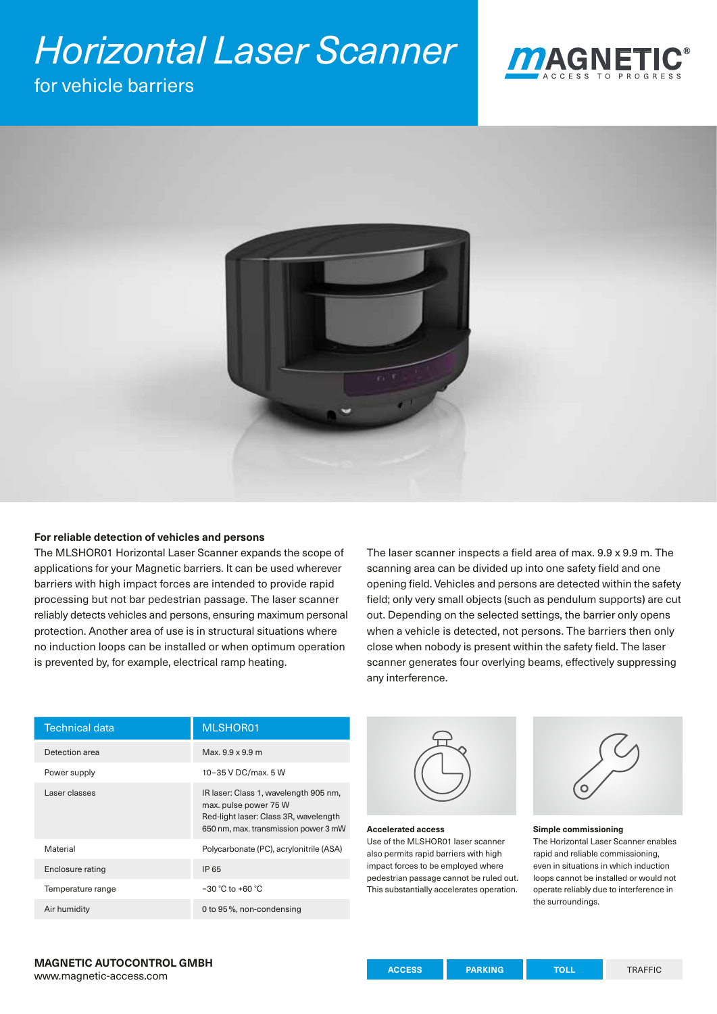# *Horizontal Laser Scanner*

### for vehicle barriers





#### **For reliable detection of vehicles and persons**

The MLSHOR01 Horizontal Laser Scanner expands the scope of applications for your Magnetic barriers. It can be used wherever barriers with high impact forces are intended to provide rapid processing but not bar pedestrian passage. The laser scanner reliably detects vehicles and persons, ensuring maximum personal protection. Another area of use is in structural situations where no induction loops can be installed or when optimum operation is prevented by, for example, electrical ramp heating.

The laser scanner inspects a field area of max. 9.9 x 9.9 m. The scanning area can be divided up into one safety field and one opening field. Vehicles and persons are detected within the safety field; only very small objects (such as pendulum supports) are cut out. Depending on the selected settings, the barrier only opens when a vehicle is detected, not persons. The barriers then only close when nobody is present within the safety field. The laser scanner generates four overlying beams, effectively suppressing any interference.

| <b>Technical data</b> | MLSHOR01                                                                                                                                        |
|-----------------------|-------------------------------------------------------------------------------------------------------------------------------------------------|
| Detection area        | Max. 9.9 x 9.9 m                                                                                                                                |
| Power supply          | 10-35 V DC/max, 5 W                                                                                                                             |
| Laser classes         | IR laser: Class 1, wavelength 905 nm,<br>max. pulse power 75 W<br>Red-light laser: Class 3R, wavelength<br>650 nm, max. transmission power 3 mW |
| Material              | Polycarbonate (PC), acrylonitrile (ASA)                                                                                                         |
| Enclosure rating      | IP 65                                                                                                                                           |
| Temperature range     | $-30$ °C to +60 °C                                                                                                                              |
| Air humidity          | 0 to 95%, non-condensing                                                                                                                        |



#### **Accelerated access** Use of the MLSHOR01 laser scanner also permits rapid barriers with high impact forces to be employed where pedestrian passage cannot be ruled out. This substantially accelerates operation.



#### **Simple commissioning**

The Horizontal Laser Scanner enables rapid and reliable commissioning, even in situations in which induction loops cannot be installed or would not operate reliably due to interference in the surroundings.